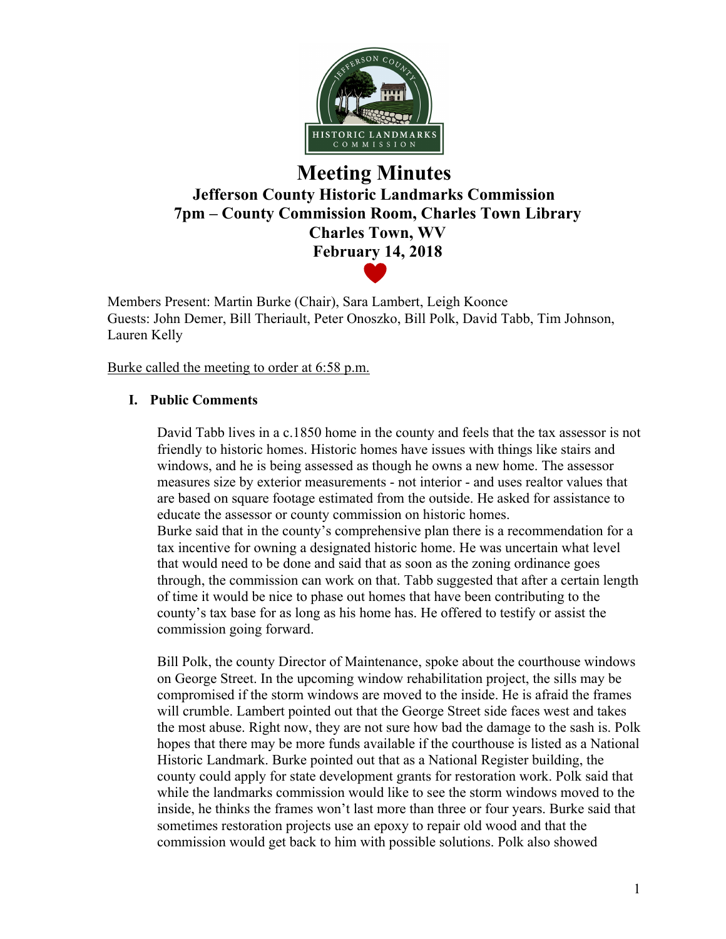

# **Meeting Minutes Jefferson County Historic Landmarks Commission 7pm – County Commission Room, Charles Town Library Charles Town, WV February 14, 2018**

Members Present: Martin Burke (Chair), Sara Lambert, Leigh Koonce Guests: John Demer, Bill Theriault, Peter Onoszko, Bill Polk, David Tabb, Tim Johnson, Lauren Kelly

Burke called the meeting to order at 6:58 p.m.

### **I. Public Comments**

David Tabb lives in a c.1850 home in the county and feels that the tax assessor is not friendly to historic homes. Historic homes have issues with things like stairs and windows, and he is being assessed as though he owns a new home. The assessor measures size by exterior measurements - not interior - and uses realtor values that are based on square footage estimated from the outside. He asked for assistance to educate the assessor or county commission on historic homes. Burke said that in the county's comprehensive plan there is a recommendation for a tax incentive for owning a designated historic home. He was uncertain what level that would need to be done and said that as soon as the zoning ordinance goes through, the commission can work on that. Tabb suggested that after a certain length of time it would be nice to phase out homes that have been contributing to the county's tax base for as long as his home has. He offered to testify or assist the commission going forward.

Bill Polk, the county Director of Maintenance, spoke about the courthouse windows on George Street. In the upcoming window rehabilitation project, the sills may be compromised if the storm windows are moved to the inside. He is afraid the frames will crumble. Lambert pointed out that the George Street side faces west and takes the most abuse. Right now, they are not sure how bad the damage to the sash is. Polk hopes that there may be more funds available if the courthouse is listed as a National Historic Landmark. Burke pointed out that as a National Register building, the county could apply for state development grants for restoration work. Polk said that while the landmarks commission would like to see the storm windows moved to the inside, he thinks the frames won't last more than three or four years. Burke said that sometimes restoration projects use an epoxy to repair old wood and that the commission would get back to him with possible solutions. Polk also showed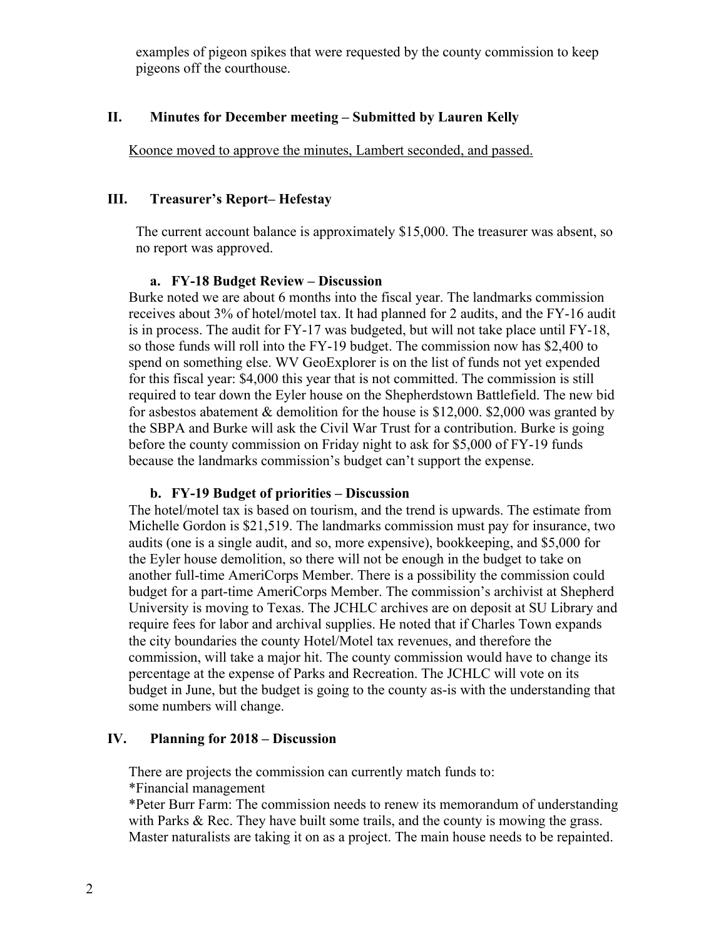examples of pigeon spikes that were requested by the county commission to keep pigeons off the courthouse.

### **II. Minutes for December meeting – Submitted by Lauren Kelly**

Koonce moved to approve the minutes, Lambert seconded, and passed.

#### **III. Treasurer's Report– Hefestay**

The current account balance is approximately \$15,000. The treasurer was absent, so no report was approved.

#### **a. FY-18 Budget Review – Discussion**

Burke noted we are about 6 months into the fiscal year. The landmarks commission receives about 3% of hotel/motel tax. It had planned for 2 audits, and the FY-16 audit is in process. The audit for FY-17 was budgeted, but will not take place until FY-18, so those funds will roll into the FY-19 budget. The commission now has \$2,400 to spend on something else. WV GeoExplorer is on the list of funds not yet expended for this fiscal year: \$4,000 this year that is not committed. The commission is still required to tear down the Eyler house on the Shepherdstown Battlefield. The new bid for asbestos abatement & demolition for the house is \$12,000. \$2,000 was granted by the SBPA and Burke will ask the Civil War Trust for a contribution. Burke is going before the county commission on Friday night to ask for \$5,000 of FY-19 funds because the landmarks commission's budget can't support the expense.

#### **b. FY-19 Budget of priorities – Discussion**

The hotel/motel tax is based on tourism, and the trend is upwards. The estimate from Michelle Gordon is \$21,519. The landmarks commission must pay for insurance, two audits (one is a single audit, and so, more expensive), bookkeeping, and \$5,000 for the Eyler house demolition, so there will not be enough in the budget to take on another full-time AmeriCorps Member. There is a possibility the commission could budget for a part-time AmeriCorps Member. The commission's archivist at Shepherd University is moving to Texas. The JCHLC archives are on deposit at SU Library and require fees for labor and archival supplies. He noted that if Charles Town expands the city boundaries the county Hotel/Motel tax revenues, and therefore the commission, will take a major hit. The county commission would have to change its percentage at the expense of Parks and Recreation. The JCHLC will vote on its budget in June, but the budget is going to the county as-is with the understanding that some numbers will change.

### **IV. Planning for 2018 – Discussion**

There are projects the commission can currently match funds to:

\*Financial management

\*Peter Burr Farm: The commission needs to renew its memorandum of understanding with Parks & Rec. They have built some trails, and the county is mowing the grass. Master naturalists are taking it on as a project. The main house needs to be repainted.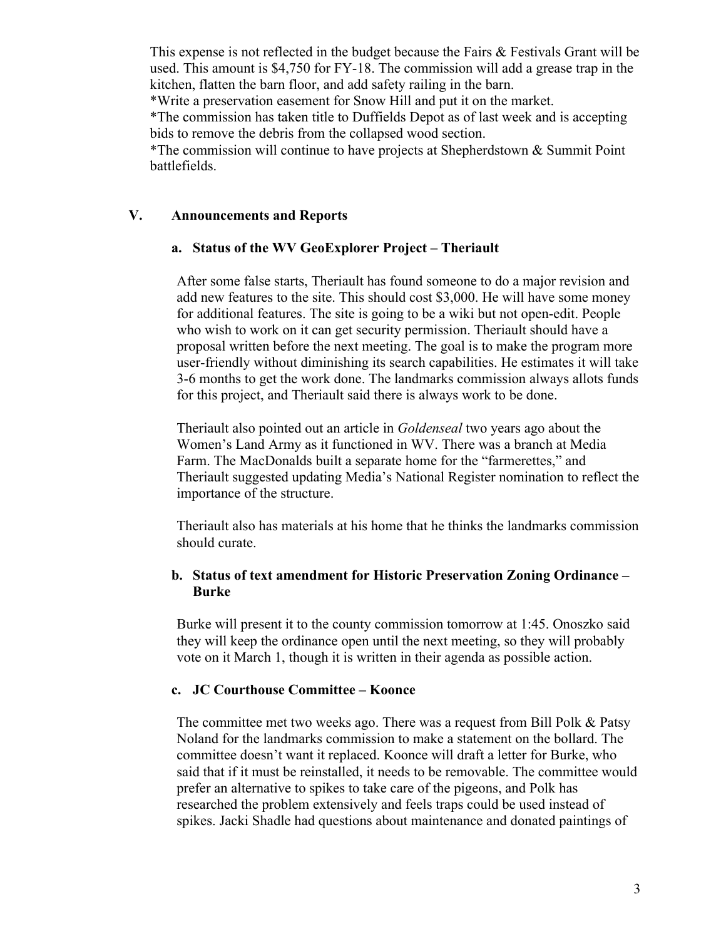This expense is not reflected in the budget because the Fairs & Festivals Grant will be used. This amount is \$4,750 for FY-18. The commission will add a grease trap in the kitchen, flatten the barn floor, and add safety railing in the barn.

\*Write a preservation easement for Snow Hill and put it on the market.

\*The commission has taken title to Duffields Depot as of last week and is accepting bids to remove the debris from the collapsed wood section.

\*The commission will continue to have projects at Shepherdstown & Summit Point battlefields.

# **V. Announcements and Reports**

### **a. Status of the WV GeoExplorer Project – Theriault**

After some false starts, Theriault has found someone to do a major revision and add new features to the site. This should cost \$3,000. He will have some money for additional features. The site is going to be a wiki but not open-edit. People who wish to work on it can get security permission. Theriault should have a proposal written before the next meeting. The goal is to make the program more user-friendly without diminishing its search capabilities. He estimates it will take 3-6 months to get the work done. The landmarks commission always allots funds for this project, and Theriault said there is always work to be done.

Theriault also pointed out an article in *Goldenseal* two years ago about the Women's Land Army as it functioned in WV. There was a branch at Media Farm. The MacDonalds built a separate home for the "farmerettes," and Theriault suggested updating Media's National Register nomination to reflect the importance of the structure.

Theriault also has materials at his home that he thinks the landmarks commission should curate.

# **b. Status of text amendment for Historic Preservation Zoning Ordinance – Burke**

Burke will present it to the county commission tomorrow at 1:45. Onoszko said they will keep the ordinance open until the next meeting, so they will probably vote on it March 1, though it is written in their agenda as possible action.

#### **c. JC Courthouse Committee – Koonce**

The committee met two weeks ago. There was a request from Bill Polk & Patsy Noland for the landmarks commission to make a statement on the bollard. The committee doesn't want it replaced. Koonce will draft a letter for Burke, who said that if it must be reinstalled, it needs to be removable. The committee would prefer an alternative to spikes to take care of the pigeons, and Polk has researched the problem extensively and feels traps could be used instead of spikes. Jacki Shadle had questions about maintenance and donated paintings of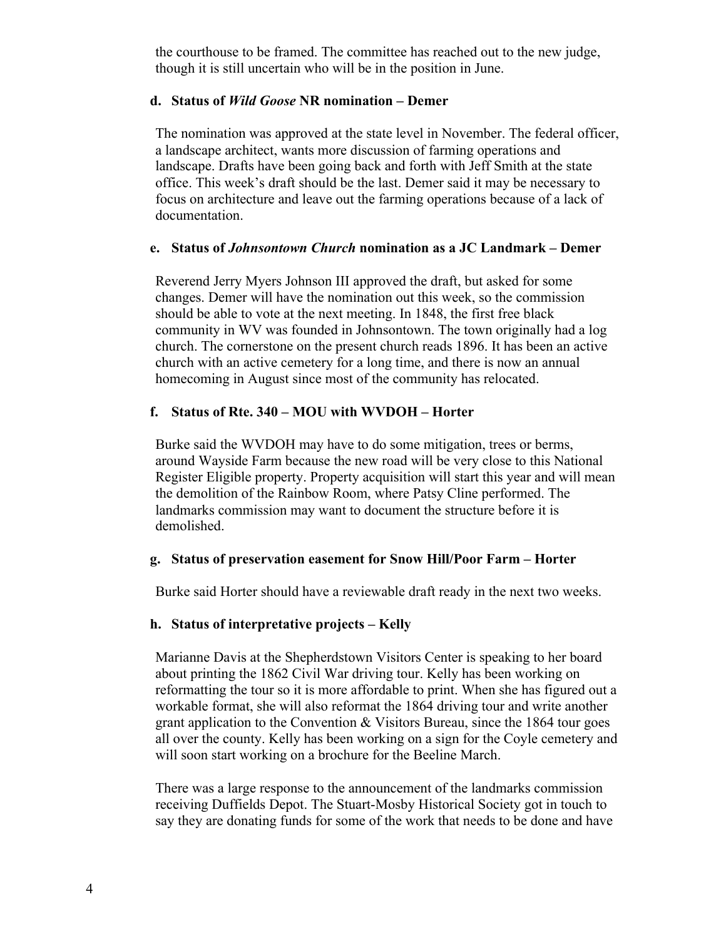the courthouse to be framed. The committee has reached out to the new judge, though it is still uncertain who will be in the position in June.

#### **d. Status of** *Wild Goose* **NR nomination – Demer**

The nomination was approved at the state level in November. The federal officer, a landscape architect, wants more discussion of farming operations and landscape. Drafts have been going back and forth with Jeff Smith at the state office. This week's draft should be the last. Demer said it may be necessary to focus on architecture and leave out the farming operations because of a lack of documentation.

#### **e. Status of** *Johnsontown Church* **nomination as a JC Landmark – Demer**

Reverend Jerry Myers Johnson III approved the draft, but asked for some changes. Demer will have the nomination out this week, so the commission should be able to vote at the next meeting. In 1848, the first free black community in WV was founded in Johnsontown. The town originally had a log church. The cornerstone on the present church reads 1896. It has been an active church with an active cemetery for a long time, and there is now an annual homecoming in August since most of the community has relocated.

# **f. Status of Rte. 340 – MOU with WVDOH – Horter**

Burke said the WVDOH may have to do some mitigation, trees or berms, around Wayside Farm because the new road will be very close to this National Register Eligible property. Property acquisition will start this year and will mean the demolition of the Rainbow Room, where Patsy Cline performed. The landmarks commission may want to document the structure before it is demolished.

#### **g. Status of preservation easement for Snow Hill/Poor Farm – Horter**

Burke said Horter should have a reviewable draft ready in the next two weeks.

# **h. Status of interpretative projects – Kelly**

Marianne Davis at the Shepherdstown Visitors Center is speaking to her board about printing the 1862 Civil War driving tour. Kelly has been working on reformatting the tour so it is more affordable to print. When she has figured out a workable format, she will also reformat the 1864 driving tour and write another grant application to the Convention & Visitors Bureau, since the 1864 tour goes all over the county. Kelly has been working on a sign for the Coyle cemetery and will soon start working on a brochure for the Beeline March.

There was a large response to the announcement of the landmarks commission receiving Duffields Depot. The Stuart-Mosby Historical Society got in touch to say they are donating funds for some of the work that needs to be done and have